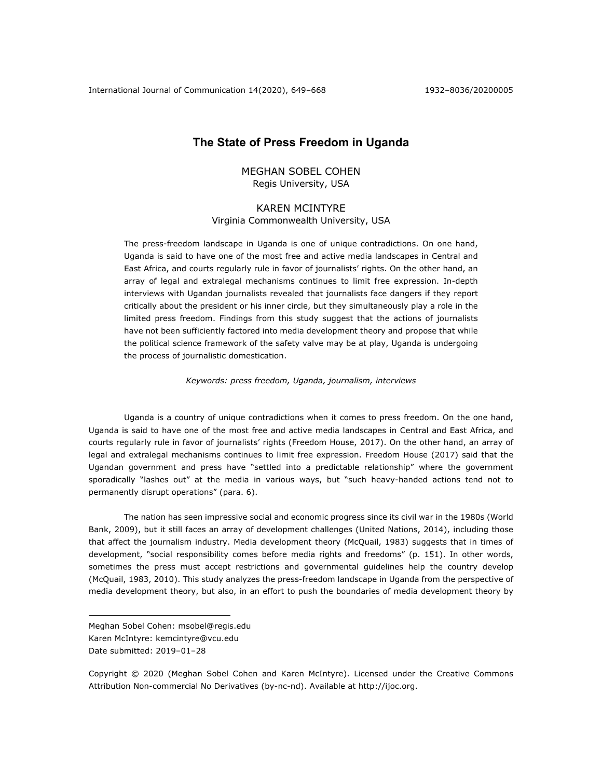International Journal of Communication 14(2020), 649–668 1932–8036/20200005

# **The State of Press Freedom in Uganda**

# MEGHAN SOBEL COHEN Regis University, USA

# KAREN MCINTYRE Virginia Commonwealth University, USA

The press-freedom landscape in Uganda is one of unique contradictions. On one hand, Uganda is said to have one of the most free and active media landscapes in Central and East Africa, and courts regularly rule in favor of journalists' rights. On the other hand, an array of legal and extralegal mechanisms continues to limit free expression. In-depth interviews with Ugandan journalists revealed that journalists face dangers if they report critically about the president or his inner circle, but they simultaneously play a role in the limited press freedom. Findings from this study suggest that the actions of journalists have not been sufficiently factored into media development theory and propose that while the political science framework of the safety valve may be at play, Uganda is undergoing the process of journalistic domestication.

*Keywords: press freedom, Uganda, journalism, interviews*

Uganda is a country of unique contradictions when it comes to press freedom. On the one hand, Uganda is said to have one of the most free and active media landscapes in Central and East Africa, and courts regularly rule in favor of journalists' rights (Freedom House, 2017). On the other hand, an array of legal and extralegal mechanisms continues to limit free expression. Freedom House (2017) said that the Ugandan government and press have "settled into a predictable relationship" where the government sporadically "lashes out" at the media in various ways, but "such heavy-handed actions tend not to permanently disrupt operations" (para. 6).

The nation has seen impressive social and economic progress since its civil war in the 1980s (World Bank, 2009), but it still faces an array of development challenges (United Nations, 2014), including those that affect the journalism industry. Media development theory (McQuail, 1983) suggests that in times of development, "social responsibility comes before media rights and freedoms" (p. 151). In other words, sometimes the press must accept restrictions and governmental guidelines help the country develop (McQuail, 1983, 2010). This study analyzes the press-freedom landscape in Uganda from the perspective of media development theory, but also, in an effort to push the boundaries of media development theory by

Copyright © 2020 (Meghan Sobel Cohen and Karen McIntyre). Licensed under the Creative Commons Attribution Non-commercial No Derivatives (by-nc-nd). Available at http://ijoc.org.

Meghan Sobel Cohen: msobel@regis.edu Karen McIntyre: kemcintyre@vcu.edu Date submitted: 2019-01-28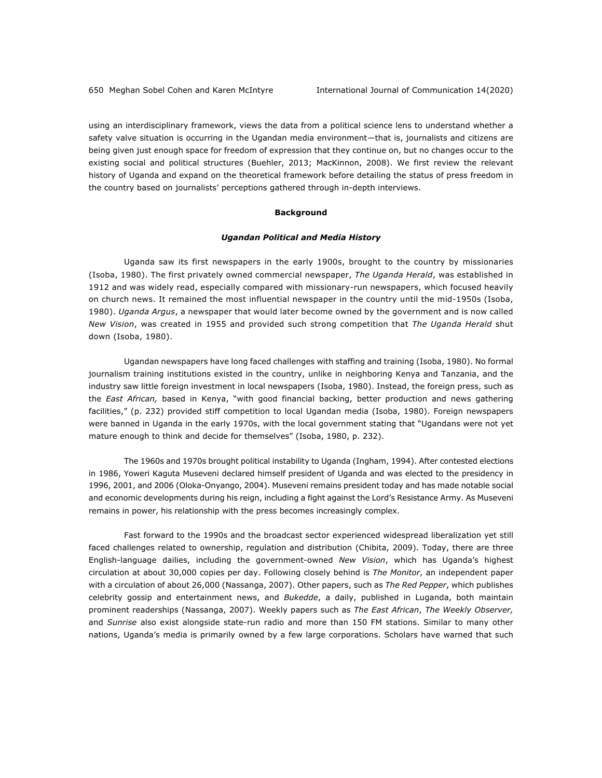using an interdisciplinary framework, views the data from a political science lens to understand whether a safety valve situation is occurring in the Ugandan media environment—that is, journalists and citizens are being given just enough space for freedom of expression that they continue on, but no changes occur to the existing social and political structures (Buehler, 2013; MacKinnon, 2008). We first review the relevant history of Uganda and expand on the theoretical framework before detailing the status of press freedom in the country based on journalists' perceptions gathered through in-depth interviews.

#### **Background**

### *Ugandan Political and Media History*

Uganda saw its first newspapers in the early 1900s, brought to the country by missionaries (Isoba, 1980). The first privately owned commercial newspaper, *The Uganda Herald*, was established in 1912 and was widely read, especially compared with missionary-run newspapers, which focused heavily on church news. It remained the most influential newspaper in the country until the mid-1950s (Isoba, 1980). *Uganda Argus*, a newspaper that would later become owned by the government and is now called *New Vision*, was created in 1955 and provided such strong competition that *The Uganda Herald* shut down (Isoba, 1980).

Ugandan newspapers have long faced challenges with staffing and training (Isoba, 1980). No formal journalism training institutions existed in the country, unlike in neighboring Kenya and Tanzania, and the industry saw little foreign investment in local newspapers (Isoba, 1980). Instead, the foreign press, such as the *East African,* based in Kenya, "with good financial backing, better production and news gathering facilities," (p. 232) provided stiff competition to local Ugandan media (Isoba, 1980). Foreign newspapers were banned in Uganda in the early 1970s, with the local government stating that "Ugandans were not yet mature enough to think and decide for themselves" (Isoba, 1980, p. 232).

The 1960s and 1970s brought political instability to Uganda (Ingham, 1994). After contested elections in 1986, Yoweri Kaguta Museveni declared himself president of Uganda and was elected to the presidency in 1996, 2001, and 2006 (Oloka-Onyango, 2004). Museveni remains president today and has made notable social and economic developments during his reign, including a fight against the Lord's Resistance Army. As Museveni remains in power, his relationship with the press becomes increasingly complex.

Fast forward to the 1990s and the broadcast sector experienced widespread liberalization yet still faced challenges related to ownership, regulation and distribution (Chibita, 2009). Today, there are three English-language dailies, including the government-owned *New Vision*, which has Uganda's highest circulation at about 30,000 copies per day. Following closely behind is *The Monitor*, an independent paper with a circulation of about 26,000 (Nassanga, 2007). Other papers, such as *The Red Pepper*, which publishes celebrity gossip and entertainment news, and *Bukedde*, a daily, published in Luganda, both maintain prominent readerships (Nassanga, 2007). Weekly papers such as *The East African*, *The Weekly Observer,* and *Sunrise* also exist alongside state-run radio and more than 150 FM stations. Similar to many other nations, Uganda's media is primarily owned by a few large corporations. Scholars have warned that such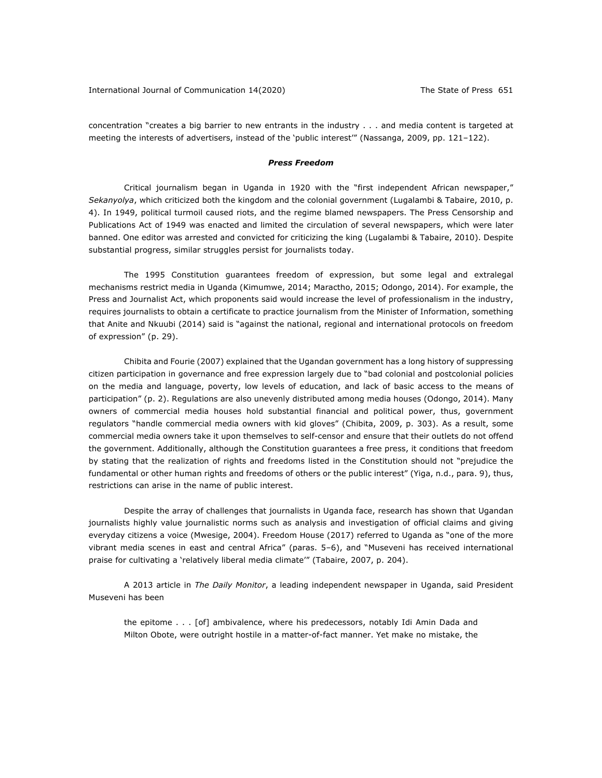concentration "creates a big barrier to new entrants in the industry . . . and media content is targeted at meeting the interests of advertisers, instead of the 'public interest'" (Nassanga, 2009, pp. 121-122).

#### *Press Freedom*

Critical journalism began in Uganda in 1920 with the "first independent African newspaper," *Sekanyolya*, which criticized both the kingdom and the colonial government (Lugalambi & Tabaire, 2010, p. 4). In 1949, political turmoil caused riots, and the regime blamed newspapers. The Press Censorship and Publications Act of 1949 was enacted and limited the circulation of several newspapers, which were later banned. One editor was arrested and convicted for criticizing the king (Lugalambi & Tabaire, 2010). Despite substantial progress, similar struggles persist for journalists today.

The 1995 Constitution guarantees freedom of expression, but some legal and extralegal mechanisms restrict media in Uganda (Kimumwe, 2014; Maractho, 2015; Odongo, 2014). For example, the Press and Journalist Act, which proponents said would increase the level of professionalism in the industry, requires journalists to obtain a certificate to practice journalism from the Minister of Information, something that Anite and Nkuubi (2014) said is "against the national, regional and international protocols on freedom of expression" (p. 29).

Chibita and Fourie (2007) explained that the Ugandan government has a long history of suppressing citizen participation in governance and free expression largely due to "bad colonial and postcolonial policies on the media and language, poverty, low levels of education, and lack of basic access to the means of participation" (p. 2). Regulations are also unevenly distributed among media houses (Odongo, 2014). Many owners of commercial media houses hold substantial financial and political power, thus, government regulators "handle commercial media owners with kid gloves" (Chibita, 2009, p. 303). As a result, some commercial media owners take it upon themselves to self-censor and ensure that their outlets do not offend the government. Additionally, although the Constitution guarantees a free press, it conditions that freedom by stating that the realization of rights and freedoms listed in the Constitution should not "prejudice the fundamental or other human rights and freedoms of others or the public interest" (Yiga, n.d., para. 9), thus, restrictions can arise in the name of public interest.

Despite the array of challenges that journalists in Uganda face, research has shown that Ugandan journalists highly value journalistic norms such as analysis and investigation of official claims and giving everyday citizens a voice (Mwesige, 2004). Freedom House (2017) referred to Uganda as "one of the more vibrant media scenes in east and central Africa" (paras. 5‒6), and "Museveni has received international praise for cultivating a 'relatively liberal media climate'" (Tabaire, 2007, p. 204).

A 2013 article in *The Daily Monitor*, a leading independent newspaper in Uganda, said President Museveni has been

the epitome . . . [of] ambivalence, where his predecessors, notably Idi Amin Dada and Milton Obote, were outright hostile in a matter-of-fact manner. Yet make no mistake, the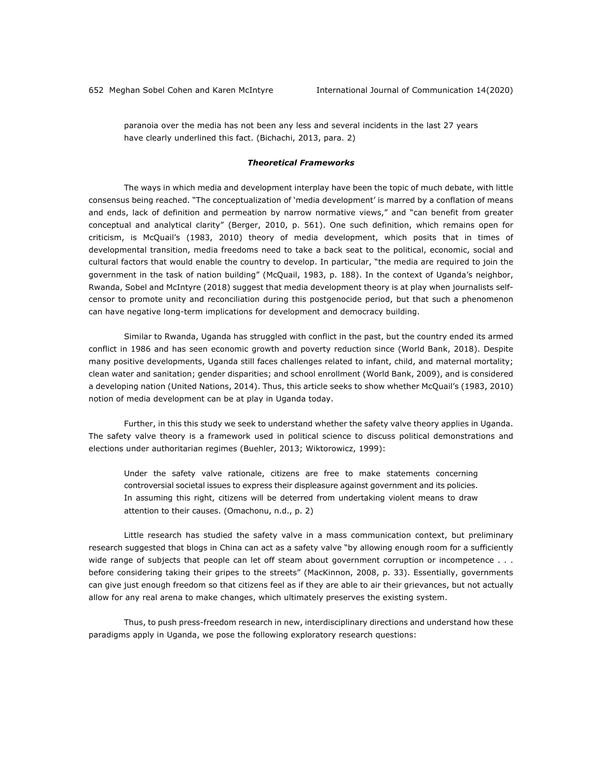paranoia over the media has not been any less and several incidents in the last 27 years have clearly underlined this fact. (Bichachi, 2013, para. 2)

#### *Theoretical Frameworks*

The ways in which media and development interplay have been the topic of much debate, with little consensus being reached. "The conceptualization of 'media development' is marred by a conflation of means and ends, lack of definition and permeation by narrow normative views," and "can benefit from greater conceptual and analytical clarity" (Berger, 2010, p. 561). One such definition, which remains open for criticism, is McQuail's (1983, 2010) theory of media development, which posits that in times of developmental transition, media freedoms need to take a back seat to the political, economic, social and cultural factors that would enable the country to develop. In particular, "the media are required to join the government in the task of nation building" (McQuail, 1983, p. 188). In the context of Uganda's neighbor, Rwanda, Sobel and McIntyre (2018) suggest that media development theory is at play when journalists selfcensor to promote unity and reconciliation during this postgenocide period, but that such a phenomenon can have negative long-term implications for development and democracy building.

Similar to Rwanda, Uganda has struggled with conflict in the past, but the country ended its armed conflict in 1986 and has seen economic growth and poverty reduction since (World Bank, 2018). Despite many positive developments, Uganda still faces challenges related to infant, child, and maternal mortality; clean water and sanitation; gender disparities; and school enrollment (World Bank, 2009), and is considered a developing nation (United Nations, 2014). Thus, this article seeks to show whether McQuail's (1983, 2010) notion of media development can be at play in Uganda today.

Further, in this this study we seek to understand whether the safety valve theory applies in Uganda. The safety valve theory is a framework used in political science to discuss political demonstrations and elections under authoritarian regimes (Buehler, 2013; Wiktorowicz, 1999):

Under the safety valve rationale, citizens are free to make statements concerning controversial societal issues to express their displeasure against government and its policies. In assuming this right, citizens will be deterred from undertaking violent means to draw attention to their causes. (Omachonu, n.d., p. 2)

Little research has studied the safety valve in a mass communication context, but preliminary research suggested that blogs in China can act as a safety valve "by allowing enough room for a sufficiently wide range of subjects that people can let off steam about government corruption or incompetence . . . before considering taking their gripes to the streets" (MacKinnon, 2008, p. 33). Essentially, governments can give just enough freedom so that citizens feel as if they are able to air their grievances, but not actually allow for any real arena to make changes, which ultimately preserves the existing system.

Thus, to push press-freedom research in new, interdisciplinary directions and understand how these paradigms apply in Uganda, we pose the following exploratory research questions: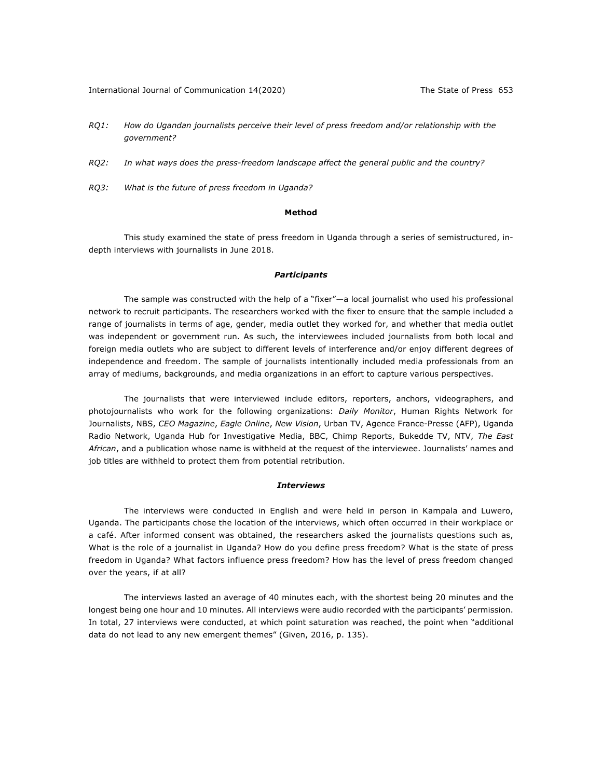- *RQ1: How do Ugandan journalists perceive their level of press freedom and/or relationship with the government?*
- *RQ2: In what ways does the press-freedom landscape affect the general public and the country?*
- *RQ3: What is the future of press freedom in Uganda?*

#### **Method**

This study examined the state of press freedom in Uganda through a series of semistructured, indepth interviews with journalists in June 2018.

### *Participants*

The sample was constructed with the help of a "fixer"—a local journalist who used his professional network to recruit participants. The researchers worked with the fixer to ensure that the sample included a range of journalists in terms of age, gender, media outlet they worked for, and whether that media outlet was independent or government run. As such, the interviewees included journalists from both local and foreign media outlets who are subject to different levels of interference and/or enjoy different degrees of independence and freedom. The sample of journalists intentionally included media professionals from an array of mediums, backgrounds, and media organizations in an effort to capture various perspectives.

The journalists that were interviewed include editors, reporters, anchors, videographers, and photojournalists who work for the following organizations: *Daily Monitor*, Human Rights Network for Journalists, NBS, *CEO Magazine*, *Eagle Online*, *New Vision*, Urban TV, Agence France-Presse (AFP), Uganda Radio Network, Uganda Hub for Investigative Media, BBC, Chimp Reports, Bukedde TV, NTV, *The East African*, and a publication whose name is withheld at the request of the interviewee. Journalists' names and job titles are withheld to protect them from potential retribution.

### *Interviews*

The interviews were conducted in English and were held in person in Kampala and Luwero, Uganda. The participants chose the location of the interviews, which often occurred in their workplace or a café. After informed consent was obtained, the researchers asked the journalists questions such as, What is the role of a journalist in Uganda? How do you define press freedom? What is the state of press freedom in Uganda? What factors influence press freedom? How has the level of press freedom changed over the years, if at all?

The interviews lasted an average of 40 minutes each, with the shortest being 20 minutes and the longest being one hour and 10 minutes. All interviews were audio recorded with the participants' permission. In total, 27 interviews were conducted, at which point saturation was reached, the point when "additional data do not lead to any new emergent themes" (Given, 2016, p. 135).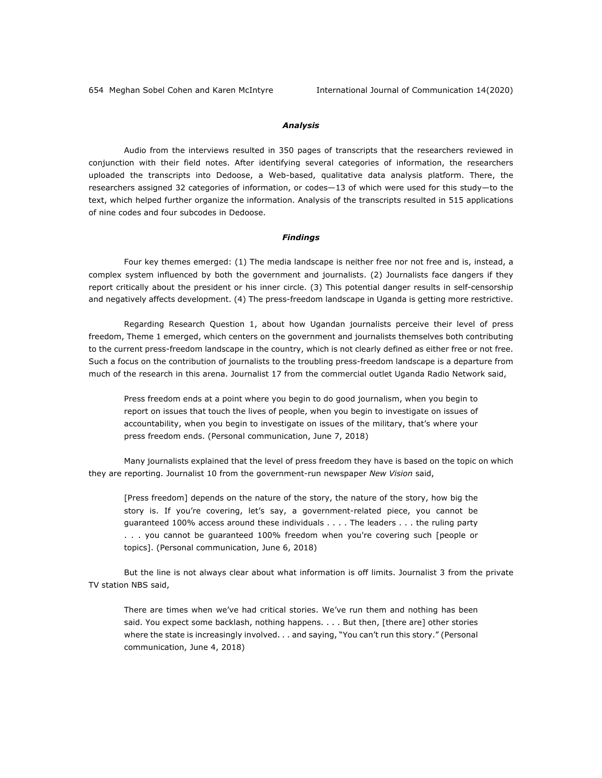## *Analysis*

Audio from the interviews resulted in 350 pages of transcripts that the researchers reviewed in conjunction with their field notes. After identifying several categories of information, the researchers uploaded the transcripts into Dedoose, a Web-based, qualitative data analysis platform. There, the researchers assigned 32 categories of information, or codes—13 of which were used for this study—to the text, which helped further organize the information. Analysis of the transcripts resulted in 515 applications of nine codes and four subcodes in Dedoose.

#### *Findings*

Four key themes emerged: (1) The media landscape is neither free nor not free and is, instead, a complex system influenced by both the government and journalists. (2) Journalists face dangers if they report critically about the president or his inner circle. (3) This potential danger results in self-censorship and negatively affects development. (4) The press-freedom landscape in Uganda is getting more restrictive.

Regarding Research Question 1, about how Ugandan journalists perceive their level of press freedom, Theme 1 emerged, which centers on the government and journalists themselves both contributing to the current press-freedom landscape in the country, which is not clearly defined as either free or not free. Such a focus on the contribution of journalists to the troubling press-freedom landscape is a departure from much of the research in this arena. Journalist 17 from the commercial outlet Uganda Radio Network said,

Press freedom ends at a point where you begin to do good journalism, when you begin to report on issues that touch the lives of people, when you begin to investigate on issues of accountability, when you begin to investigate on issues of the military, that's where your press freedom ends. (Personal communication, June 7, 2018)

Many journalists explained that the level of press freedom they have is based on the topic on which they are reporting. Journalist 10 from the government-run newspaper *New Vision* said,

[Press freedom] depends on the nature of the story, the nature of the story, how big the story is. If you're covering, let's say, a government-related piece, you cannot be guaranteed 100% access around these individuals . . . . The leaders . . . the ruling party . . . you cannot be guaranteed 100% freedom when you're covering such [people or topics]. (Personal communication, June 6, 2018)

But the line is not always clear about what information is off limits. Journalist 3 from the private TV station NBS said,

There are times when we've had critical stories. We've run them and nothing has been said. You expect some backlash, nothing happens. . . . But then, [there are] other stories where the state is increasingly involved. . . and saying, "You can't run this story." (Personal communication, June 4, 2018)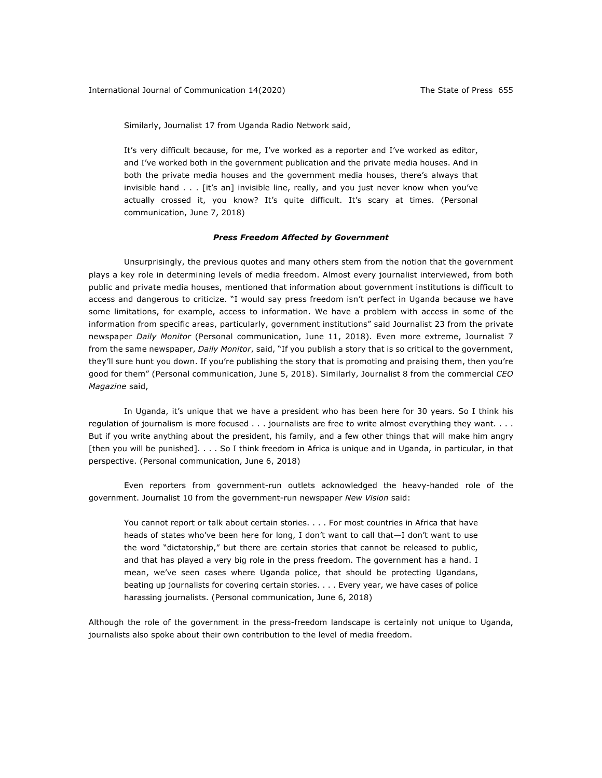Similarly, Journalist 17 from Uganda Radio Network said,

It's very difficult because, for me, I've worked as a reporter and I've worked as editor, and I've worked both in the government publication and the private media houses. And in both the private media houses and the government media houses, there's always that invisible hand . . . [it's an] invisible line, really, and you just never know when you've actually crossed it, you know? It's quite difficult. It's scary at times. (Personal communication, June 7, 2018)

#### *Press Freedom Affected by Government*

Unsurprisingly, the previous quotes and many others stem from the notion that the government plays a key role in determining levels of media freedom. Almost every journalist interviewed, from both public and private media houses, mentioned that information about government institutions is difficult to access and dangerous to criticize. "I would say press freedom isn't perfect in Uganda because we have some limitations, for example, access to information. We have a problem with access in some of the information from specific areas, particularly, government institutions" said Journalist 23 from the private newspaper *Daily Monitor* (Personal communication, June 11, 2018). Even more extreme, Journalist 7 from the same newspaper, *Daily Monitor*, said, "If you publish a story that is so critical to the government, they'll sure hunt you down. If you're publishing the story that is promoting and praising them, then you're good for them" (Personal communication, June 5, 2018). Similarly, Journalist 8 from the commercial *CEO Magazine* said,

In Uganda, it's unique that we have a president who has been here for 30 years. So I think his regulation of journalism is more focused . . . journalists are free to write almost everything they want. . . . But if you write anything about the president, his family, and a few other things that will make him angry [then you will be punished]. . . . So I think freedom in Africa is unique and in Uganda, in particular, in that perspective. (Personal communication, June 6, 2018)

Even reporters from government-run outlets acknowledged the heavy-handed role of the government. Journalist 10 from the government-run newspaper *New Vision* said:

You cannot report or talk about certain stories. . . . For most countries in Africa that have heads of states who've been here for long, I don't want to call that—I don't want to use the word "dictatorship," but there are certain stories that cannot be released to public, and that has played a very big role in the press freedom. The government has a hand. I mean, we've seen cases where Uganda police, that should be protecting Ugandans, beating up journalists for covering certain stories. . . . Every year, we have cases of police harassing journalists. (Personal communication, June 6, 2018)

Although the role of the government in the press-freedom landscape is certainly not unique to Uganda, journalists also spoke about their own contribution to the level of media freedom.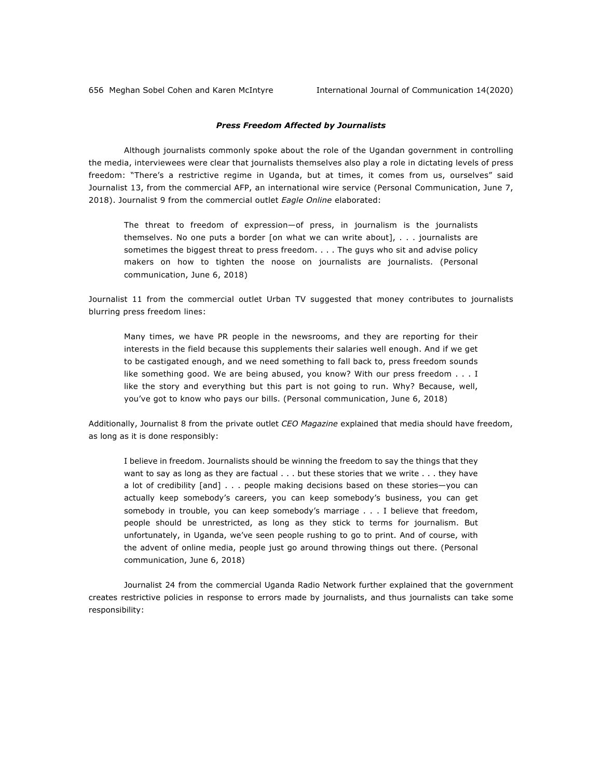## *Press Freedom Affected by Journalists*

Although journalists commonly spoke about the role of the Ugandan government in controlling the media, interviewees were clear that journalists themselves also play a role in dictating levels of press freedom: "There's a restrictive regime in Uganda, but at times, it comes from us, ourselves" said Journalist 13, from the commercial AFP, an international wire service (Personal Communication, June 7, 2018). Journalist 9 from the commercial outlet *Eagle Online* elaborated:

The threat to freedom of expression—of press, in journalism is the journalists themselves. No one puts a border [on what we can write about], . . . journalists are sometimes the biggest threat to press freedom. . . . The guys who sit and advise policy makers on how to tighten the noose on journalists are journalists. (Personal communication, June 6, 2018)

Journalist 11 from the commercial outlet Urban TV suggested that money contributes to journalists blurring press freedom lines:

Many times, we have PR people in the newsrooms, and they are reporting for their interests in the field because this supplements their salaries well enough. And if we get to be castigated enough, and we need something to fall back to, press freedom sounds like something good. We are being abused, you know? With our press freedom . . . I like the story and everything but this part is not going to run. Why? Because, well, you've got to know who pays our bills. (Personal communication, June 6, 2018)

Additionally, Journalist 8 from the private outlet *CEO Magazine* explained that media should have freedom, as long as it is done responsibly:

I believe in freedom. Journalists should be winning the freedom to say the things that they want to say as long as they are factual . . . but these stories that we write . . . they have a lot of credibility [and] . . . people making decisions based on these stories—you can actually keep somebody's careers, you can keep somebody's business, you can get somebody in trouble, you can keep somebody's marriage . . . I believe that freedom, people should be unrestricted, as long as they stick to terms for journalism. But unfortunately, in Uganda, we've seen people rushing to go to print. And of course, with the advent of online media, people just go around throwing things out there. (Personal communication, June 6, 2018)

Journalist 24 from the commercial Uganda Radio Network further explained that the government creates restrictive policies in response to errors made by journalists, and thus journalists can take some responsibility: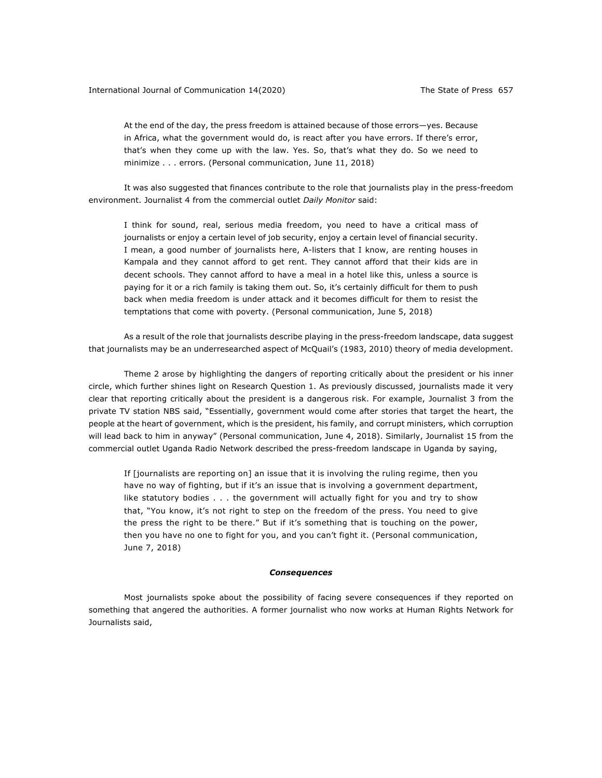At the end of the day, the press freedom is attained because of those errors—yes. Because in Africa, what the government would do, is react after you have errors. If there's error, that's when they come up with the law. Yes. So, that's what they do. So we need to minimize . . . errors. (Personal communication, June 11, 2018)

It was also suggested that finances contribute to the role that journalists play in the press-freedom environment. Journalist 4 from the commercial outlet *Daily Monitor* said:

I think for sound, real, serious media freedom, you need to have a critical mass of journalists or enjoy a certain level of job security, enjoy a certain level of financial security. I mean, a good number of journalists here, A-listers that I know, are renting houses in Kampala and they cannot afford to get rent. They cannot afford that their kids are in decent schools. They cannot afford to have a meal in a hotel like this, unless a source is paying for it or a rich family is taking them out. So, it's certainly difficult for them to push back when media freedom is under attack and it becomes difficult for them to resist the temptations that come with poverty. (Personal communication, June 5, 2018)

As a result of the role that journalists describe playing in the press-freedom landscape, data suggest that journalists may be an underresearched aspect of McQuail's (1983, 2010) theory of media development.

Theme 2 arose by highlighting the dangers of reporting critically about the president or his inner circle, which further shines light on Research Question 1. As previously discussed, journalists made it very clear that reporting critically about the president is a dangerous risk. For example, Journalist 3 from the private TV station NBS said, "Essentially, government would come after stories that target the heart, the people at the heart of government, which is the president, his family, and corrupt ministers, which corruption will lead back to him in anyway" (Personal communication, June 4, 2018). Similarly, Journalist 15 from the commercial outlet Uganda Radio Network described the press-freedom landscape in Uganda by saying,

If [journalists are reporting on] an issue that it is involving the ruling regime, then you have no way of fighting, but if it's an issue that is involving a government department, like statutory bodies . . . the government will actually fight for you and try to show that, "You know, it's not right to step on the freedom of the press. You need to give the press the right to be there." But if it's something that is touching on the power, then you have no one to fight for you, and you can't fight it. (Personal communication, June 7, 2018)

#### *Consequences*

Most journalists spoke about the possibility of facing severe consequences if they reported on something that angered the authorities. A former journalist who now works at Human Rights Network for Journalists said,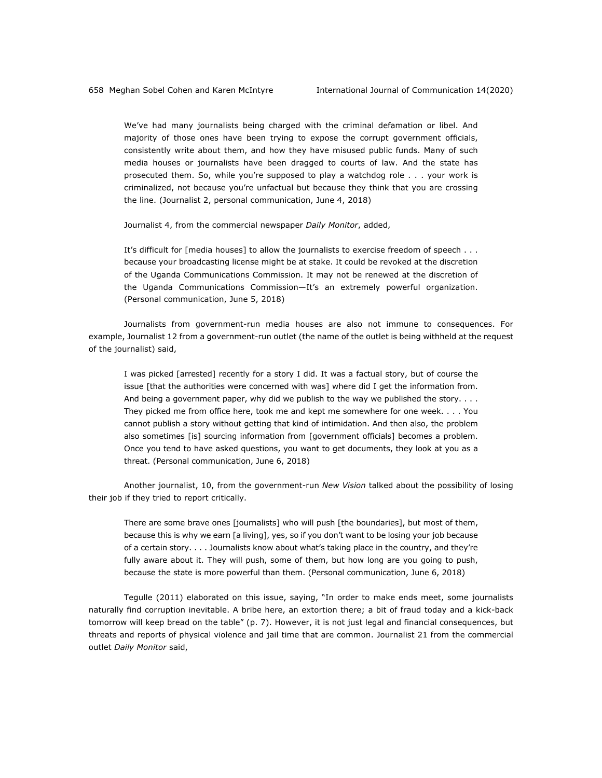We've had many journalists being charged with the criminal defamation or libel. And majority of those ones have been trying to expose the corrupt government officials, consistently write about them, and how they have misused public funds. Many of such media houses or journalists have been dragged to courts of law. And the state has prosecuted them. So, while you're supposed to play a watchdog role . . . your work is criminalized, not because you're unfactual but because they think that you are crossing the line. (Journalist 2, personal communication, June 4, 2018)

Journalist 4, from the commercial newspaper *Daily Monitor*, added,

It's difficult for [media houses] to allow the journalists to exercise freedom of speech . . . because your broadcasting license might be at stake. It could be revoked at the discretion of the Uganda Communications Commission. It may not be renewed at the discretion of the Uganda Communications Commission—It's an extremely powerful organization. (Personal communication, June 5, 2018)

Journalists from government-run media houses are also not immune to consequences. For example, Journalist 12 from a government-run outlet (the name of the outlet is being withheld at the request of the journalist) said,

I was picked [arrested] recently for a story I did. It was a factual story, but of course the issue [that the authorities were concerned with was] where did I get the information from. And being a government paper, why did we publish to the way we published the story.  $\dots$ They picked me from office here, took me and kept me somewhere for one week. . . . You cannot publish a story without getting that kind of intimidation. And then also, the problem also sometimes [is] sourcing information from [government officials] becomes a problem. Once you tend to have asked questions, you want to get documents, they look at you as a threat. (Personal communication, June 6, 2018)

Another journalist, 10, from the government-run *New Vision* talked about the possibility of losing their job if they tried to report critically.

There are some brave ones [journalists] who will push [the boundaries], but most of them, because this is why we earn [a living], yes, so if you don't want to be losing your job because of a certain story. . . . Journalists know about what's taking place in the country, and they're fully aware about it. They will push, some of them, but how long are you going to push, because the state is more powerful than them. (Personal communication, June 6, 2018)

Tegulle (2011) elaborated on this issue, saying, "In order to make ends meet, some journalists naturally find corruption inevitable. A bribe here, an extortion there; a bit of fraud today and a kick-back tomorrow will keep bread on the table" (p. 7). However, it is not just legal and financial consequences, but threats and reports of physical violence and jail time that are common. Journalist 21 from the commercial outlet *Daily Monitor* said,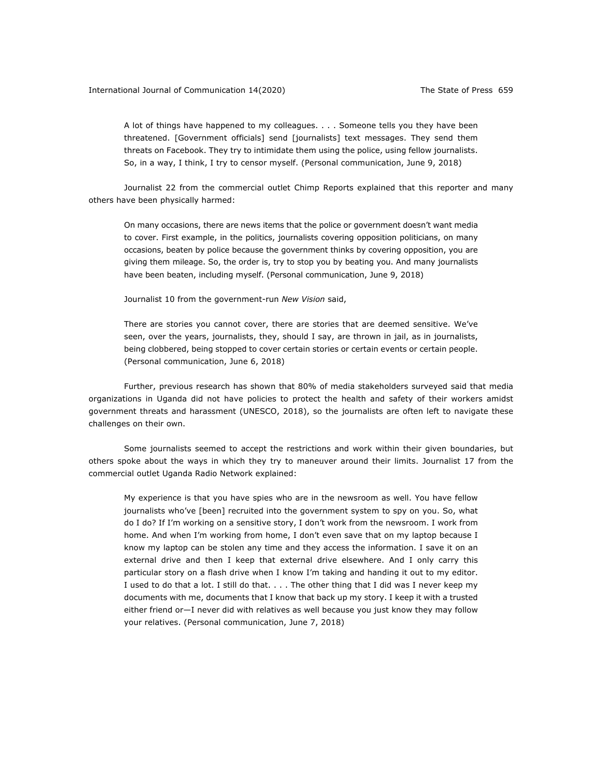A lot of things have happened to my colleagues. . . . Someone tells you they have been threatened. [Government officials] send [journalists] text messages. They send them threats on Facebook. They try to intimidate them using the police, using fellow journalists. So, in a way, I think, I try to censor myself. (Personal communication, June 9, 2018)

Journalist 22 from the commercial outlet Chimp Reports explained that this reporter and many others have been physically harmed:

On many occasions, there are news items that the police or government doesn't want media to cover. First example, in the politics, journalists covering opposition politicians, on many occasions, beaten by police because the government thinks by covering opposition, you are giving them mileage. So, the order is, try to stop you by beating you. And many journalists have been beaten, including myself. (Personal communication, June 9, 2018)

Journalist 10 from the government-run *New Vision* said,

There are stories you cannot cover, there are stories that are deemed sensitive. We've seen, over the years, journalists, they, should I say, are thrown in jail, as in journalists, being clobbered, being stopped to cover certain stories or certain events or certain people. (Personal communication, June 6, 2018)

Further, previous research has shown that 80% of media stakeholders surveyed said that media organizations in Uganda did not have policies to protect the health and safety of their workers amidst government threats and harassment (UNESCO, 2018), so the journalists are often left to navigate these challenges on their own.

Some journalists seemed to accept the restrictions and work within their given boundaries, but others spoke about the ways in which they try to maneuver around their limits. Journalist 17 from the commercial outlet Uganda Radio Network explained:

My experience is that you have spies who are in the newsroom as well. You have fellow journalists who've [been] recruited into the government system to spy on you. So, what do I do? If I'm working on a sensitive story, I don't work from the newsroom. I work from home. And when I'm working from home, I don't even save that on my laptop because I know my laptop can be stolen any time and they access the information. I save it on an external drive and then I keep that external drive elsewhere. And I only carry this particular story on a flash drive when I know I'm taking and handing it out to my editor. I used to do that a lot. I still do that. . . . The other thing that I did was I never keep my documents with me, documents that I know that back up my story. I keep it with a trusted either friend or—I never did with relatives as well because you just know they may follow your relatives. (Personal communication, June 7, 2018)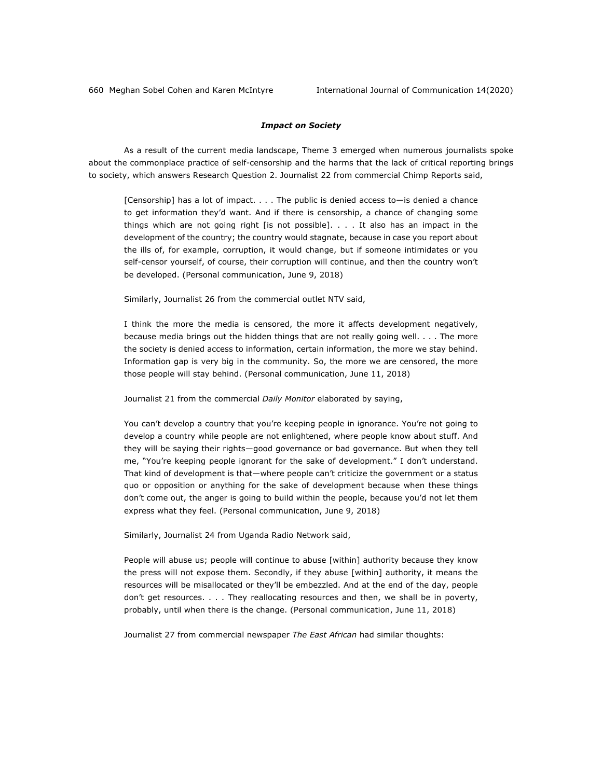#### *Impact on Society*

As a result of the current media landscape, Theme 3 emerged when numerous journalists spoke about the commonplace practice of self-censorship and the harms that the lack of critical reporting brings to society, which answers Research Question 2. Journalist 22 from commercial Chimp Reports said,

[Censorship] has a lot of impact. . . . The public is denied access to—is denied a chance to get information they'd want. And if there is censorship, a chance of changing some things which are not going right [is not possible]. . . . It also has an impact in the development of the country; the country would stagnate, because in case you report about the ills of, for example, corruption, it would change, but if someone intimidates or you self-censor yourself, of course, their corruption will continue, and then the country won't be developed. (Personal communication, June 9, 2018)

Similarly, Journalist 26 from the commercial outlet NTV said,

I think the more the media is censored, the more it affects development negatively, because media brings out the hidden things that are not really going well. . . . The more the society is denied access to information, certain information, the more we stay behind. Information gap is very big in the community. So, the more we are censored, the more those people will stay behind. (Personal communication, June 11, 2018)

Journalist 21 from the commercial *Daily Monitor* elaborated by saying,

You can't develop a country that you're keeping people in ignorance. You're not going to develop a country while people are not enlightened, where people know about stuff. And they will be saying their rights—good governance or bad governance. But when they tell me, "You're keeping people ignorant for the sake of development." I don't understand. That kind of development is that—where people can't criticize the government or a status quo or opposition or anything for the sake of development because when these things don't come out, the anger is going to build within the people, because you'd not let them express what they feel. (Personal communication, June 9, 2018)

Similarly, Journalist 24 from Uganda Radio Network said,

People will abuse us; people will continue to abuse [within] authority because they know the press will not expose them. Secondly, if they abuse [within] authority, it means the resources will be misallocated or they'll be embezzled. And at the end of the day, people don't get resources. . . . They reallocating resources and then, we shall be in poverty, probably, until when there is the change. (Personal communication, June 11, 2018)

Journalist 27 from commercial newspaper *The East African* had similar thoughts: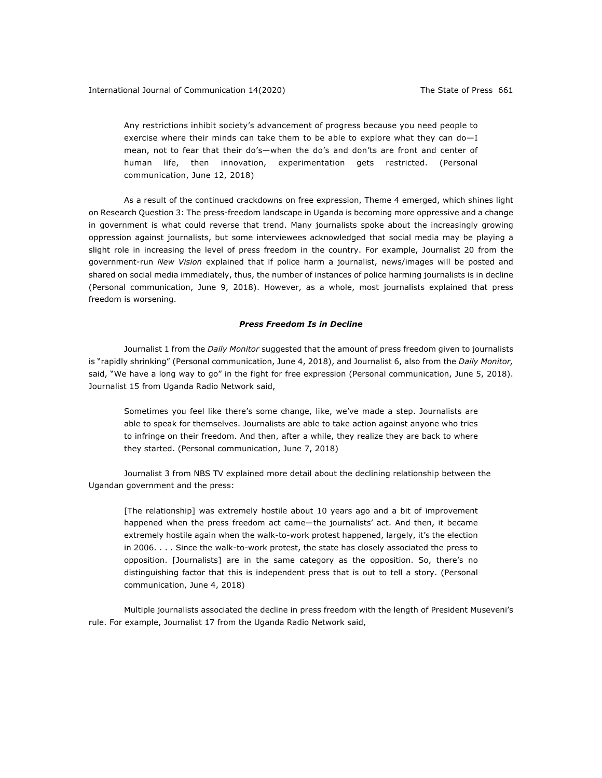Any restrictions inhibit society's advancement of progress because you need people to exercise where their minds can take them to be able to explore what they can do—I mean, not to fear that their do's—when the do's and don'ts are front and center of human life, then innovation, experimentation gets restricted. (Personal communication, June 12, 2018)

As a result of the continued crackdowns on free expression, Theme 4 emerged, which shines light on Research Question 3: The press-freedom landscape in Uganda is becoming more oppressive and a change in government is what could reverse that trend. Many journalists spoke about the increasingly growing oppression against journalists, but some interviewees acknowledged that social media may be playing a slight role in increasing the level of press freedom in the country. For example, Journalist 20 from the government-run *New Vision* explained that if police harm a journalist, news/images will be posted and shared on social media immediately, thus, the number of instances of police harming journalists is in decline (Personal communication, June 9, 2018). However, as a whole, most journalists explained that press freedom is worsening.

# *Press Freedom Is in Decline*

Journalist 1 from the *Daily Monitor* suggested that the amount of press freedom given to journalists is "rapidly shrinking" (Personal communication, June 4, 2018), and Journalist 6, also from the *Daily Monitor,* said, "We have a long way to go" in the fight for free expression (Personal communication, June 5, 2018). Journalist 15 from Uganda Radio Network said,

Sometimes you feel like there's some change, like, we've made a step. Journalists are able to speak for themselves. Journalists are able to take action against anyone who tries to infringe on their freedom. And then, after a while, they realize they are back to where they started. (Personal communication, June 7, 2018)

Journalist 3 from NBS TV explained more detail about the declining relationship between the Ugandan government and the press:

[The relationship] was extremely hostile about 10 years ago and a bit of improvement happened when the press freedom act came―the journalists' act. And then, it became extremely hostile again when the walk-to-work protest happened, largely, it's the election in 2006. . . . Since the walk-to-work protest, the state has closely associated the press to opposition. [Journalists] are in the same category as the opposition. So, there's no distinguishing factor that this is independent press that is out to tell a story. (Personal communication, June 4, 2018)

Multiple journalists associated the decline in press freedom with the length of President Museveni's rule. For example, Journalist 17 from the Uganda Radio Network said,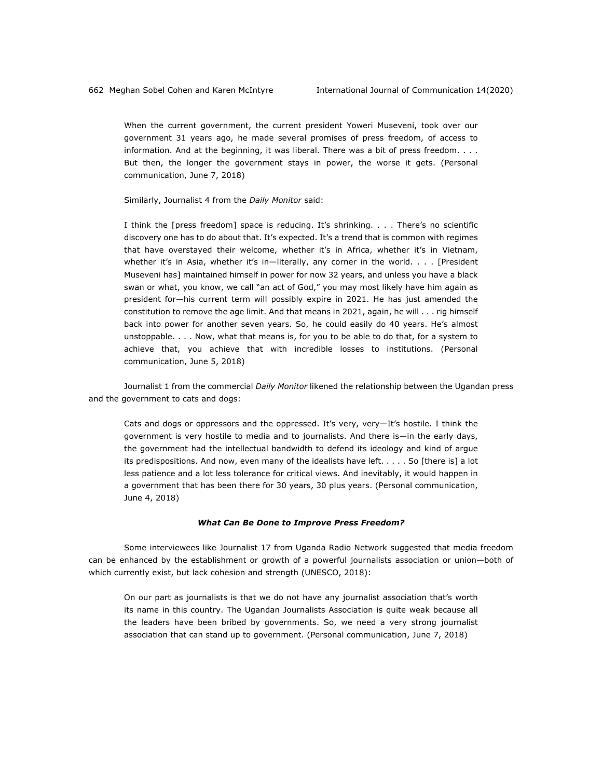When the current government, the current president Yoweri Museveni, took over our government 31 years ago, he made several promises of press freedom, of access to information. And at the beginning, it was liberal. There was a bit of press freedom. . . . But then, the longer the government stays in power, the worse it gets. (Personal communication, June 7, 2018)

Similarly, Journalist 4 from the *Daily Monitor* said:

I think the [press freedom] space is reducing. It's shrinking. . . . There's no scientific discovery one has to do about that. It's expected. It's a trend that is common with regimes that have overstayed their welcome, whether it's in Africa, whether it's in Vietnam, whether it's in Asia, whether it's in-literally, any corner in the world. . . . [President Museveni has] maintained himself in power for now 32 years, and unless you have a black swan or what, you know, we call "an act of God," you may most likely have him again as president for—his current term will possibly expire in 2021. He has just amended the constitution to remove the age limit. And that means in 2021, again, he will . . . rig himself back into power for another seven years. So, he could easily do 40 years. He's almost unstoppable. . . . Now, what that means is, for you to be able to do that, for a system to achieve that, you achieve that with incredible losses to institutions. (Personal communication, June 5, 2018)

Journalist 1 from the commercial *Daily Monitor* likened the relationship between the Ugandan press and the government to cats and dogs:

Cats and dogs or oppressors and the oppressed. It's very, very—It's hostile. I think the government is very hostile to media and to journalists. And there is—in the early days, the government had the intellectual bandwidth to defend its ideology and kind of argue its predispositions. And now, even many of the idealists have left. . . . . So [there is] a lot less patience and a lot less tolerance for critical views. And inevitably, it would happen in a government that has been there for 30 years, 30 plus years. (Personal communication, June 4, 2018)

#### *What Can Be Done to Improve Press Freedom?*

Some interviewees like Journalist 17 from Uganda Radio Network suggested that media freedom can be enhanced by the establishment or growth of a powerful journalists association or union—both of which currently exist, but lack cohesion and strength (UNESCO, 2018):

On our part as journalists is that we do not have any journalist association that's worth its name in this country. The Ugandan Journalists Association is quite weak because all the leaders have been bribed by governments. So, we need a very strong journalist association that can stand up to government. (Personal communication, June 7, 2018)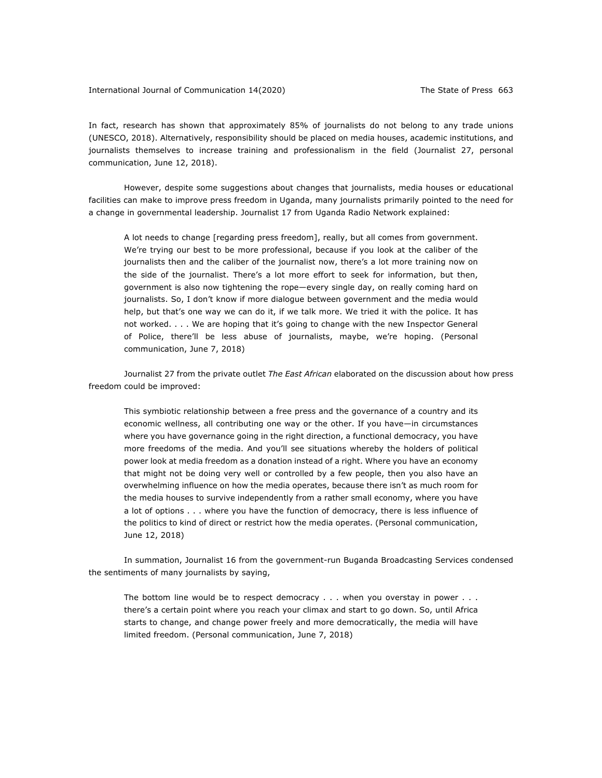In fact, research has shown that approximately 85% of journalists do not belong to any trade unions (UNESCO, 2018). Alternatively, responsibility should be placed on media houses, academic institutions, and journalists themselves to increase training and professionalism in the field (Journalist 27, personal communication, June 12, 2018).

However, despite some suggestions about changes that journalists, media houses or educational facilities can make to improve press freedom in Uganda, many journalists primarily pointed to the need for a change in governmental leadership. Journalist 17 from Uganda Radio Network explained:

A lot needs to change [regarding press freedom], really, but all comes from government. We're trying our best to be more professional, because if you look at the caliber of the journalists then and the caliber of the journalist now, there's a lot more training now on the side of the journalist. There's a lot more effort to seek for information, but then, government is also now tightening the rope—every single day, on really coming hard on journalists. So, I don't know if more dialogue between government and the media would help, but that's one way we can do it, if we talk more. We tried it with the police. It has not worked. . . . We are hoping that it's going to change with the new Inspector General of Police, there'll be less abuse of journalists, maybe, we're hoping. (Personal communication, June 7, 2018)

Journalist 27 from the private outlet *The East African* elaborated on the discussion about how press freedom could be improved:

This symbiotic relationship between a free press and the governance of a country and its economic wellness, all contributing one way or the other. If you have—in circumstances where you have governance going in the right direction, a functional democracy, you have more freedoms of the media. And you'll see situations whereby the holders of political power look at media freedom as a donation instead of a right. Where you have an economy that might not be doing very well or controlled by a few people, then you also have an overwhelming influence on how the media operates, because there isn't as much room for the media houses to survive independently from a rather small economy, where you have a lot of options . . . where you have the function of democracy, there is less influence of the politics to kind of direct or restrict how the media operates. (Personal communication, June 12, 2018)

In summation, Journalist 16 from the government-run Buganda Broadcasting Services condensed the sentiments of many journalists by saying,

The bottom line would be to respect democracy . . . when you overstay in power . . . there's a certain point where you reach your climax and start to go down. So, until Africa starts to change, and change power freely and more democratically, the media will have limited freedom. (Personal communication, June 7, 2018)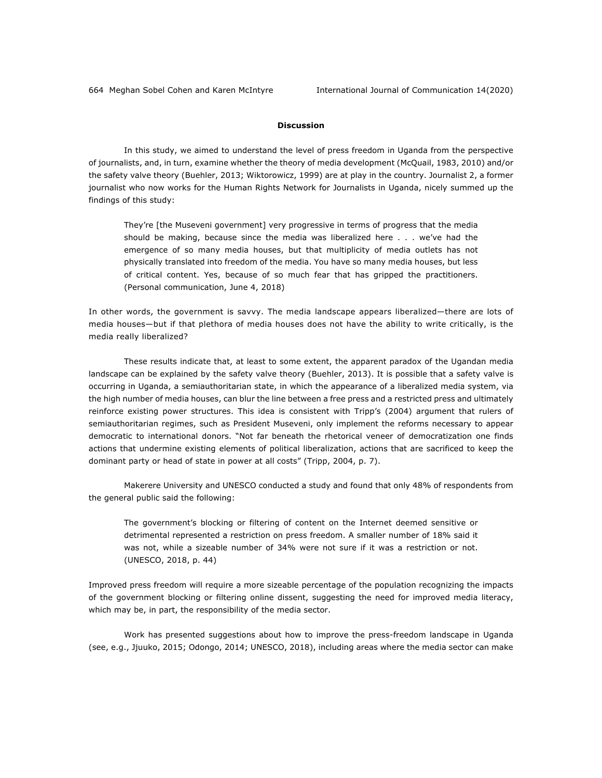## **Discussion**

In this study, we aimed to understand the level of press freedom in Uganda from the perspective of journalists, and, in turn, examine whether the theory of media development (McQuail, 1983, 2010) and/or the safety valve theory (Buehler, 2013; Wiktorowicz, 1999) are at play in the country. Journalist 2, a former journalist who now works for the Human Rights Network for Journalists in Uganda, nicely summed up the findings of this study:

They're [the Museveni government] very progressive in terms of progress that the media should be making, because since the media was liberalized here . . . we've had the emergence of so many media houses, but that multiplicity of media outlets has not physically translated into freedom of the media. You have so many media houses, but less of critical content. Yes, because of so much fear that has gripped the practitioners. (Personal communication, June 4, 2018)

In other words, the government is savvy. The media landscape appears liberalized—there are lots of media houses—but if that plethora of media houses does not have the ability to write critically, is the media really liberalized?

These results indicate that, at least to some extent, the apparent paradox of the Ugandan media landscape can be explained by the safety valve theory (Buehler, 2013). It is possible that a safety valve is occurring in Uganda, a semiauthoritarian state, in which the appearance of a liberalized media system, via the high number of media houses, can blur the line between a free press and a restricted press and ultimately reinforce existing power structures. This idea is consistent with Tripp's (2004) argument that rulers of semiauthoritarian regimes, such as President Museveni, only implement the reforms necessary to appear democratic to international donors. "Not far beneath the rhetorical veneer of democratization one finds actions that undermine existing elements of political liberalization, actions that are sacrificed to keep the dominant party or head of state in power at all costs" (Tripp, 2004, p. 7).

Makerere University and UNESCO conducted a study and found that only 48% of respondents from the general public said the following:

The government's blocking or filtering of content on the Internet deemed sensitive or detrimental represented a restriction on press freedom. A smaller number of 18% said it was not, while a sizeable number of 34% were not sure if it was a restriction or not. (UNESCO, 2018, p. 44)

Improved press freedom will require a more sizeable percentage of the population recognizing the impacts of the government blocking or filtering online dissent, suggesting the need for improved media literacy, which may be, in part, the responsibility of the media sector.

Work has presented suggestions about how to improve the press-freedom landscape in Uganda (see, e.g., Jjuuko, 2015; Odongo, 2014; UNESCO, 2018), including areas where the media sector can make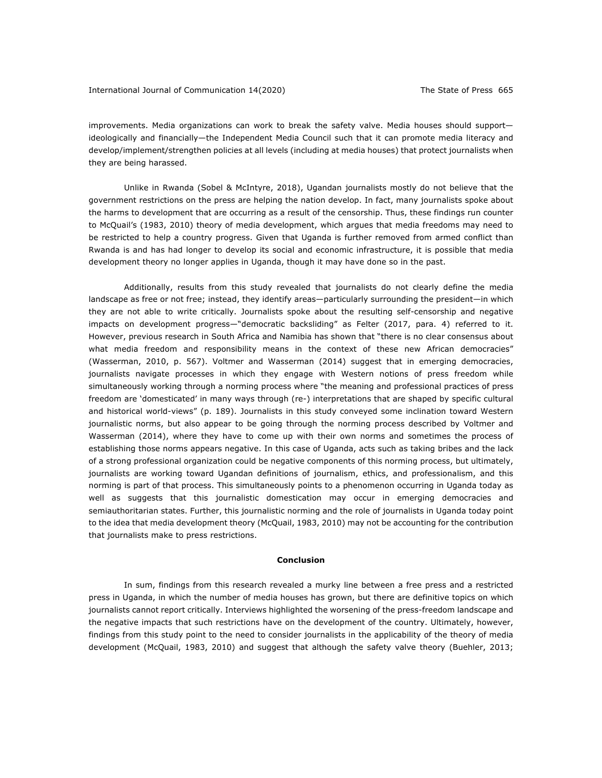improvements. Media organizations can work to break the safety valve. Media houses should support ideologically and financially—the Independent Media Council such that it can promote media literacy and develop/implement/strengthen policies at all levels (including at media houses) that protect journalists when they are being harassed.

Unlike in Rwanda (Sobel & McIntyre, 2018), Ugandan journalists mostly do not believe that the government restrictions on the press are helping the nation develop. In fact, many journalists spoke about the harms to development that are occurring as a result of the censorship. Thus, these findings run counter to McQuail's (1983, 2010) theory of media development, which argues that media freedoms may need to be restricted to help a country progress. Given that Uganda is further removed from armed conflict than Rwanda is and has had longer to develop its social and economic infrastructure, it is possible that media development theory no longer applies in Uganda, though it may have done so in the past.

Additionally, results from this study revealed that journalists do not clearly define the media landscape as free or not free; instead, they identify areas—particularly surrounding the president—in which they are not able to write critically. Journalists spoke about the resulting self-censorship and negative impacts on development progress-"democratic backsliding" as Felter (2017, para. 4) referred to it. However, previous research in South Africa and Namibia has shown that "there is no clear consensus about what media freedom and responsibility means in the context of these new African democracies" (Wasserman, 2010, p. 567). Voltmer and Wasserman (2014) suggest that in emerging democracies, journalists navigate processes in which they engage with Western notions of press freedom while simultaneously working through a norming process where "the meaning and professional practices of press freedom are 'domesticated' in many ways through (re-) interpretations that are shaped by specific cultural and historical world-views" (p. 189). Journalists in this study conveyed some inclination toward Western journalistic norms, but also appear to be going through the norming process described by Voltmer and Wasserman (2014), where they have to come up with their own norms and sometimes the process of establishing those norms appears negative. In this case of Uganda, acts such as taking bribes and the lack of a strong professional organization could be negative components of this norming process, but ultimately, journalists are working toward Ugandan definitions of journalism, ethics, and professionalism, and this norming is part of that process. This simultaneously points to a phenomenon occurring in Uganda today as well as suggests that this journalistic domestication may occur in emerging democracies and semiauthoritarian states. Further, this journalistic norming and the role of journalists in Uganda today point to the idea that media development theory (McQuail, 1983, 2010) may not be accounting for the contribution that journalists make to press restrictions.

#### **Conclusion**

In sum, findings from this research revealed a murky line between a free press and a restricted press in Uganda, in which the number of media houses has grown, but there are definitive topics on which journalists cannot report critically. Interviews highlighted the worsening of the press-freedom landscape and the negative impacts that such restrictions have on the development of the country. Ultimately, however, findings from this study point to the need to consider journalists in the applicability of the theory of media development (McQuail, 1983, 2010) and suggest that although the safety valve theory (Buehler, 2013;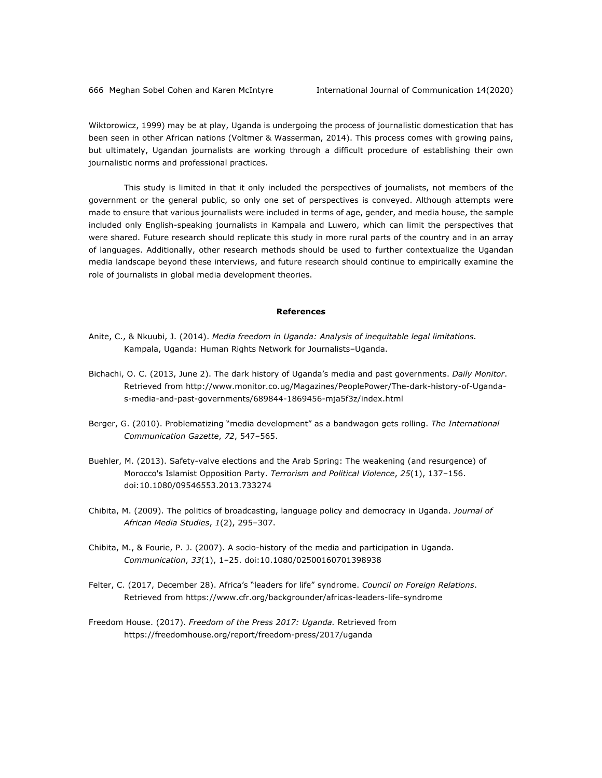Wiktorowicz, 1999) may be at play, Uganda is undergoing the process of journalistic domestication that has been seen in other African nations (Voltmer & Wasserman, 2014). This process comes with growing pains, but ultimately, Ugandan journalists are working through a difficult procedure of establishing their own journalistic norms and professional practices.

This study is limited in that it only included the perspectives of journalists, not members of the government or the general public, so only one set of perspectives is conveyed. Although attempts were made to ensure that various journalists were included in terms of age, gender, and media house, the sample included only English-speaking journalists in Kampala and Luwero, which can limit the perspectives that were shared. Future research should replicate this study in more rural parts of the country and in an array of languages. Additionally, other research methods should be used to further contextualize the Ugandan media landscape beyond these interviews, and future research should continue to empirically examine the role of journalists in global media development theories.

#### **References**

- Anite, C., & Nkuubi, J. (2014). *Media freedom in Uganda: Analysis of inequitable legal limitations.* Kampala, Uganda: Human Rights Network for Journalists–Uganda.
- Bichachi, O. C. (2013, June 2). The dark history of Uganda's media and past governments. *Daily Monitor*. Retrieved from http://www.monitor.co.ug/Magazines/PeoplePower/The-dark-history-of-Ugandas-media-and-past-governments/689844-1869456-mja5f3z/index.html
- Berger, G. (2010). Problematizing "media development" as a bandwagon gets rolling. *The International Communication Gazette*, *72*, 547–565.
- Buehler, M. (2013). Safety-valve elections and the Arab Spring: The weakening (and resurgence) of Morocco's Islamist Opposition Party. *Terrorism and Political Violence*, *25*(1), 137–156. doi:10.1080/09546553.2013.733274
- Chibita, M. (2009). The politics of broadcasting, language policy and democracy in Uganda. *Journal of African Media Studies*, *1*(2), 295–307.
- Chibita, M., & Fourie, P. J. (2007). A socio-history of the media and participation in Uganda. *Communication*, *33*(1), 1–25. doi:10.1080/02500160701398938
- Felter, C. (2017, December 28). Africa's "leaders for life" syndrome. *Council on Foreign Relations*. Retrieved from https://www.cfr.org/backgrounder/africas-leaders-life-syndrome
- Freedom House. (2017). *Freedom of the Press 2017: Uganda.* Retrieved from https://freedomhouse.org/report/freedom-press/2017/uganda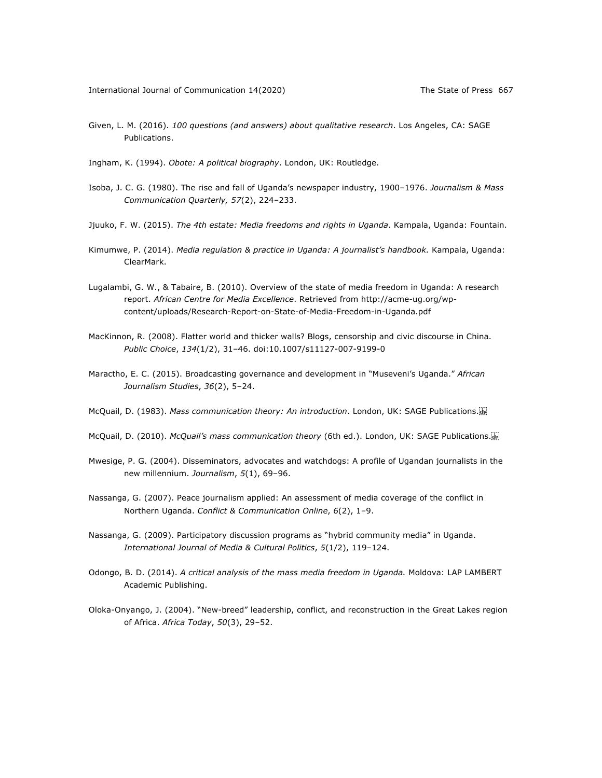- Given, L. M. (2016). *100 questions (and answers) about qualitative research*. Los Angeles, CA: SAGE Publications.
- Ingham, K. (1994). *Obote: A political biography*. London, UK: Routledge.
- Isoba, J. C. G. (1980). The rise and fall of Uganda's newspaper industry, 1900–1976. *Journalism & Mass Communication Quarterly, 57*(2), 224–233.
- Jjuuko, F. W. (2015). *The 4th estate: Media freedoms and rights in Uganda*. Kampala, Uganda: Fountain.
- Kimumwe, P. (2014). *Media regulation & practice in Uganda: A journalist's handbook.* Kampala, Uganda: ClearMark.
- Lugalambi, G. W., & Tabaire, B. (2010). Overview of the state of media freedom in Uganda: A research report. *African Centre for Media Excellence*. Retrieved from http://acme-ug.org/wpcontent/uploads/Research-Report-on-State-of-Media-Freedom-in-Uganda.pdf
- MacKinnon, R. (2008). Flatter world and thicker walls? Blogs, censorship and civic discourse in China. *Public Choice*, *134*(1/2), 31–46. doi:10.1007/s11127-007-9199-0
- Maractho, E. C. (2015). Broadcasting governance and development in "Museveni's Uganda." *African Journalism Studies*, *36*(2), 5–24.
- McQuail, D. (1983). *Mass communication theory: An introduction*. London, UK: SAGE Publications.
- McQuail, D. (2010). *McQuail's mass communication theory* (6th ed.). London, UK: SAGE Publications.
- Mwesige, P. G. (2004). Disseminators, advocates and watchdogs: A profile of Ugandan journalists in the new millennium. *Journalism*, *5*(1), 69–96.
- Nassanga, G. (2007). Peace journalism applied: An assessment of media coverage of the conflict in Northern Uganda. *Conflict & Communication Online*, *6*(2), 1–9.
- Nassanga, G. (2009). Participatory discussion programs as "hybrid community media" in Uganda. *International Journal of Media & Cultural Politics*, *5*(1/2), 119–124.
- Odongo, B. D. (2014). *A critical analysis of the mass media freedom in Uganda.* Moldova: LAP LAMBERT Academic Publishing.
- Oloka-Onyango, J. (2004). "New-breed" leadership, conflict, and reconstruction in the Great Lakes region of Africa. *Africa Today*, *50*(3), 29–52.